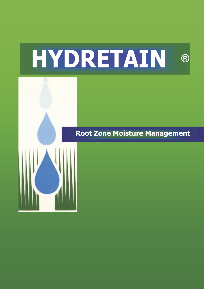# **HYDRETAIN ®**



## **Root Zone Moisture Management**

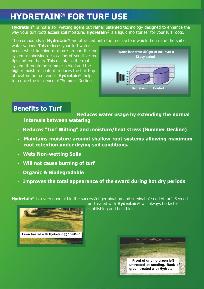# **HYDRETAIN® FOR TURF USE**

**Hydretain®** is not a soil wetting agent but rather patented technology designed to enhance the way your turf roots access soil moisture. **Hydretain®** is a liquid moisturiser for your turf roots.

The compounds in **Hydretain®** are attracted onto the root system which then mine the soil of

water vapour. This reduces your turf water needs whilst keeping moisture around the root system minimising desiccation of sensitive root tips and root hairs. This maintains the root system through the summer period and the higher moisture content reduces the build-up of heat in the root zone. **Hydretain®** helps to reduce the incidence of "Summer Decline".



### **Benefits to Turf**

• **Reduces water usage by extending the normal intervals between watering**

- **Reduces "Turf Wilting" and moisture/heat stress (Summer Decline)**
- **Maintains moisture around shallow root systems allowing maximum root retention under drying soil conditions.**
- **Wets Non-wetting Soils**
- **Will not cause burning of turf**
- **Organic & Biodegradable**
- **Improves the total appearance of the sward during hot dry periods**

**Hydretain**® is a very good aid in the successful germination and survival of seeded turf. Seeded



turf treated with **Hydretain®** will always be faster establishing and healthier.

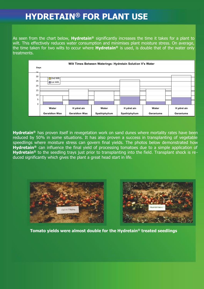## **HYDRETAIN® FOR PLANT USE**

As seen from the chart below, **Hydretain®** significantly increases the time it takes for a plant to wilt. This effectively reduces water consumption and minimises plant moisture stress. On average, the time taken for two wilts to occur where **Hydretain®** is used, is double that of the water only treatments.



**Hydretain®** has proven itself in revegetation work on sand dunes where mortality rates have been reduced by 50% in some situations. It has also proven a success in transplanting of vegetable speedlings where moisture stress can govern final yields. The photos below demonstrated how **Hydretain®** can influence the final yield of processing tomatoes due to a simple application of **Hydretain®** to the seedling trays just prior to transplanting into the field. Transplant shock is reduced significantly which gives the plant a great head start in life.



**Tomato yields were almost double for the Hydretain® treated seedlings**